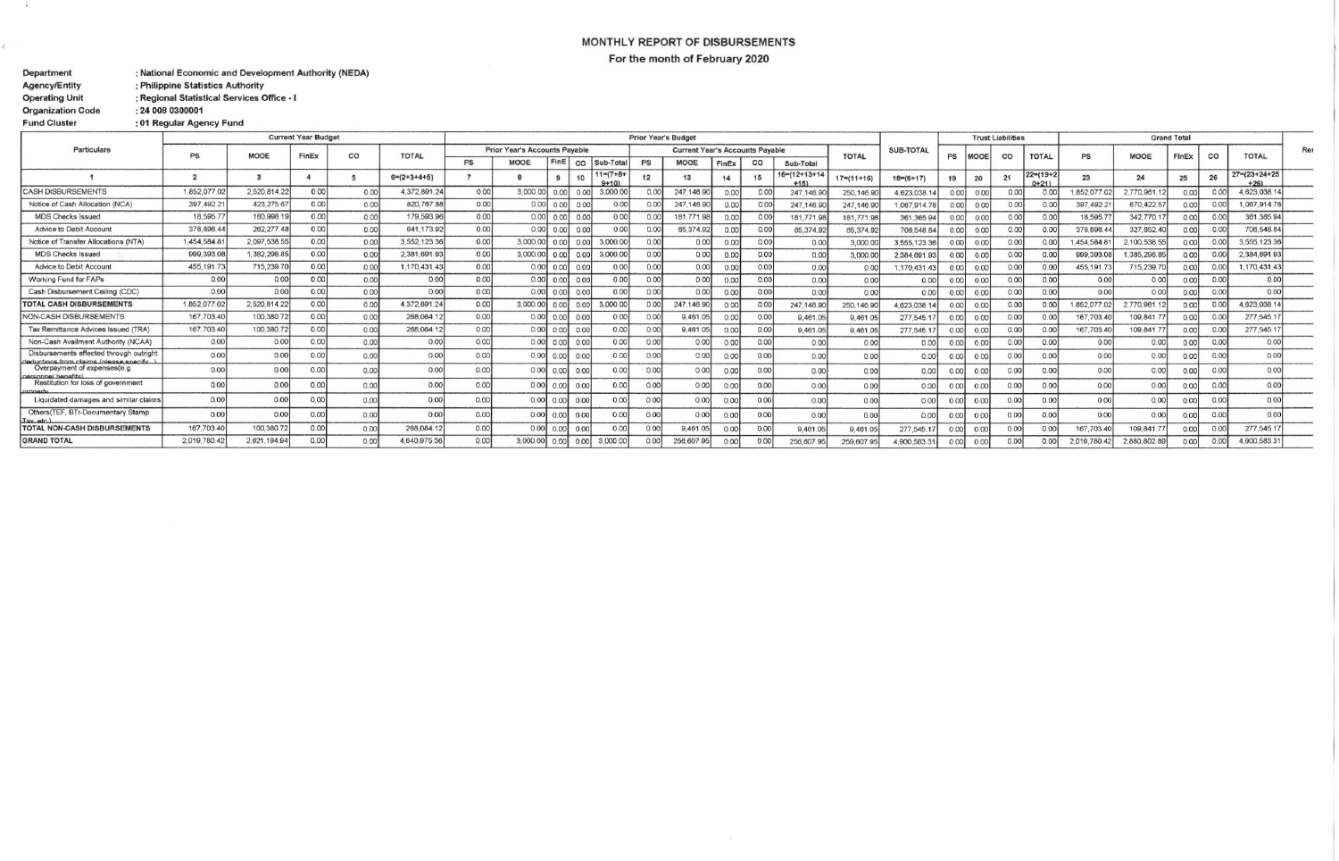## MONTHLY REPORT OF DISBURSEMENTS For the month of February 2020

Department : National Economic and Development Authority (NEDA) **Agency/Entity** : Philippine Statistics Authority

Regional Statistical Services Office - I **Operating Unit** 

**Organization Code** : 24 008 0300001

 $\rightarrow$ 

ċ.

**Fund Cluster** : 01 Regular Agency Fund

| Particulars                                                                         | <b>Current Year Budget</b> |              |                            |                   |                | <b>Prior Year's Budget</b>           |          |                  |                |                              |                                        |             |       |      |                        | <b>Trust Liabilities</b> |                 |      |                | <b>Grand Total</b> |                            |             |                |                |                |                       |  |
|-------------------------------------------------------------------------------------|----------------------------|--------------|----------------------------|-------------------|----------------|--------------------------------------|----------|------------------|----------------|------------------------------|----------------------------------------|-------------|-------|------|------------------------|--------------------------|-----------------|------|----------------|--------------------|----------------------------|-------------|----------------|----------------|----------------|-----------------------|--|
|                                                                                     | PS                         | <b>MODE</b>  | FinEx                      | CO                | <b>TOTAL</b>   | <b>Prior Year's Accounts Payable</b> |          |                  |                |                              | <b>Current Year's Accounts Payable</b> |             |       |      | <b>TOTAL</b>           | SUB-TOTAL                | PS              |      | CO             | <b>TOTAL</b>       | PS                         | <b>MOOE</b> | FinEx          | $_{\rm co}$    | <b>TOTAL</b>   | Rer                   |  |
|                                                                                     |                            |              |                            |                   |                | <b>PS</b>                            | MOOE     | FinE             | $_{\rm CO}$    | Sub-Tota                     | <b>PS</b>                              | <b>MOOE</b> | FinEx | CO   | Sub-Total              |                          |                 |      |                |                    |                            |             |                |                |                |                       |  |
|                                                                                     |                            |              |                            |                   | $6= (2+3+4+5)$ |                                      |          |                  |                | $11 = (7 + 8 +$<br>$9 + 101$ | 12                                     |             |       | 15   | 16=(12+13+14<br>$+151$ | $17 = (11 + 16)$         | $18 = (6 + 17)$ |      | 20             | 21                 | $22 = (19 + 2)$<br>$0+211$ | 23          | 2 <sub>d</sub> | 25             | 26             | $27 = (23 + 24 + 25)$ |  |
| <b>CASH DISBURSEMENTS</b>                                                           | 1,852,077.0                | 2,520,814.22 | 0.001                      | 0.00              | 4,372,891.24   | 0.00                                 | 3,000.00 | 0.00             | 0.00           | 3,000.0                      | 0 <sup>0</sup>                         | 247.146.90  | 0.00  | 0.00 | 247.146.9              | 250.146.9                | 4,623,038.      | 0.00 | 0.00           | 0.00               | 0.00                       | 1.852.077.0 | 2,770,961.1    |                | 0.00           | 4,623,038.1           |  |
| Notice of Cash Allocation (NCA)                                                     | 397,492.21                 | 423,275.67   | 0.00                       | 0.00              | 820,767.88     | 0.00                                 |          | $0.00$ 0.00      | 0.00           | 0.00                         | 0.00                                   | 247.146.90  | 0.00  | 0.00 | 247.146.9              | 247.146.9                | 067,914.78      |      | 0 <sup>0</sup> | 0.00               | 0.00                       | 397.492.2   | 670,422.5      | 0.00           | 0.00           | 1.067.914.78          |  |
| <b>MDS Checks Issued</b>                                                            | 18,595.7                   | 160,998.1    | 0.001                      | 0.00              | 179,593.96     | 0.001                                |          | $0.00$ $0.00$    | 0.00           | 0.00                         | 0.00                                   | 181,771,9   | 0.00  | 0.00 | 181,771.9              | 181,771.9                | 361, 365.94     |      | 0.00           | 0.00               | 0.00                       | 18,595.7    | 342,770.1      | 0.00           | 0.00           | 361, 365.94           |  |
| Advice to Debit Account                                                             | 378.896.44                 | 262, 277.48  | 0.00                       | 0.00              | 641.173.92     | 0.00                                 |          | $0.00$ 0.00      | 0.00           | 0.00                         | 0.00                                   | 65.374.93   | 0.00  | 0.00 | 65,374.9               | 65,374.9                 | 706,548.84      |      | 0.00           | 0.00               | 0.00                       | 378.896.4   | 327.652.4      |                | 0.00           | 706,548.84            |  |
| Notice of Transfer Allocations (NTA)                                                | 1.454,584.8                | 2,097,538.55 | 0.00                       | 0.001             | 3,552,123,36   | 0.00                                 | 3,000.00 | 0.00             | 0.00           | 3,000.0                      | 0.00                                   | 0.00        | 0.00  | 0.00 | 0.00                   | 3,000.0                  | 3,555,123.36    |      | 0.00           | 0.00               | 0.00                       | 1.454.584.8 | 2,100,538.55   | 0.00           | 0.00           | 3,555,123.36          |  |
| <b>MDS Checks Issued</b>                                                            | 999,393.08                 | 1,382,298.85 | 0.00                       | 0.00 <sub>l</sub> | 2,381,691.93   | 0.00                                 | 3,000.00 | 0.00             | 0.00           | 3,000.0                      | 0.00                                   | 0.00        |       | 0.00 | 0.00                   | 3,000.0                  | 2,384,691.93    |      | 0.00           | 0.00               | 0.00                       | 999.393.0   | 1.385.298.8    | 0 <sub>n</sub> | 0.00           | 2,384,691.93          |  |
| Advice to Debit Account                                                             | 455, 191.73                | 715,239.70   | 0.00                       | 0.00              | 1.170.431.43   | 0.001                                | 0.001    | 0.00             | 0.00           | 0.00                         | 0.00                                   | 0.00        |       | 0.00 | 0.00                   | 0 <sub>0</sub>           | ,170,431.43     |      | 0.00           | 0.00               | 0.00                       | 455, 191.7  | 715,239.7      | 0.00           | 0.00           | 1.170.431.43          |  |
| <b>Working Fund for FAPs</b>                                                        | 0.00                       | 0.00         | 0.00                       | 0.00              | 0.00           | 0.00                                 | 0.00     | 0.00             | 0.00           | 0.00                         | 0.00                                   | 0.00        |       | 0.00 | 0.00                   | 0.00                     | 0.00            |      | 0.00           | 0.00               | 0.00                       | 0.00        | 0.00           |                | 0 <sup>0</sup> | 0.00                  |  |
| Cash Disbursement Ceiling (CDC)                                                     | 0.00                       | 0.00         | 0.00                       | 0.00              | 0.00           | 0.00                                 | 0.00     | 0.00             | 0.00           | 0.00                         | 0.00                                   | 0.00        | 00    | 0.00 | 0.00                   | 0.00                     | 0.00            |      | 0.00           | 0.00               | 0.00                       | 0.00        | 0.00           | 0.00           | 0.00           | 0.00                  |  |
| <b>TOTAL CASH DISBURSEMENTS</b>                                                     | 1,852,077.0                | 2,520,814.22 | 0.00                       | 0.00              | 4.372.891.24   | 0.00                                 | 3.000.00 | 0.00             | 0.00           | 3,000.0                      | 0.00                                   | 247.146.9   |       | n na | 247, 146.9             | 250.146.9                | 1,623,038.1     |      | 0.00           | 0.00               | 0.00                       | 1.852.077.0 | 2.770.961.     | 0.00           | 0 <sup>0</sup> | 1,623,038.14          |  |
| <b>NON-CASH DISBURSEMENTS</b>                                                       | 167,703.40                 | 100,380.72   | 0.00                       | 0.00              | 268.084.12     | 0.00                                 | 0.00     | 0.00             | 0.00           | 0.00                         | 0.00                                   | 9.461.0     | 00    | 0.00 | 9,461.0                | 9,461.0                  | 277,545.        |      | 0.00           | 0.00               | 0.00                       | 167,703.4   | 109,841.       | 0.00           | 0.00           | 277,545.17            |  |
| Tax Remittance Advices Issued (TRA)                                                 | 167,703.40                 | 100.380.72   | 0.00                       | 0.00              | 268,084.12     | 0.001                                | 0.00     |                  | $0.00$ $0.00$  | 0.00                         | 0.00                                   | 9.461.05    |       | 0.00 | 9,461.0                | 9.461.05                 | 277,545.1       |      | 0.00           | 0.00               | 0.00                       | 167,703.4   | 109,841.7      | 0.00           | 0.00           | 277,545.17            |  |
| Non-Cash Availment Authority (NCAA)                                                 | 0.00                       | 0.00         | 0 <sup>0<sup>c</sup></sup> | 0.00              | 0.00           | 0.00                                 |          | $0.00$ 0.00 0.00 |                | 0.00                         | 0.00                                   | 0.00        | 0.00  | 0.00 | 0.00                   | 0.00                     | 0.00            |      | 0.00           | 0.00               | 0.00                       | 0.00        | 0.00           | 0.00           | 0.00           | 0.00                  |  |
| Disbursements effected through outright<br>deductions from claims (please specify ) | 0.00                       | 0.00         | 0.00                       | 0.00              | 0.00           | 0.00                                 | 0.00     |                  | $0.00$ $0.00$  | 0.00                         | 0 <sup>0</sup>                         | 0.00        | .001  | 0.00 | 0.00                   | 0.00                     | 0.00            | 0.00 | 0.00           | 0.00               | 0.00                       | 0.00        | 0.00           | 0.00           | 0.00           | 0.00                  |  |
| Overpayment of expenses(e.g.<br>personnal banafits)                                 | 0.00                       | 0.00         | 0 <sup>0</sup>             | 0.00              | 0.00           | 0.00                                 | 0.00     | 0.001            | 0.00           | 0.00                         | 0.00                                   | 0.00        |       | 0.00 | 0.00                   | 0.00                     | 0.00            |      | 0.00           | 0.00               | 0.00                       | 0.00        | 0.00           |                | 0 <sup>0</sup> | 0.00                  |  |
| Restitution for loss of government                                                  | 0.00                       | 0.00         | 0.00                       | 0.00              | 0.00           | 0.00                                 |          | $0.00$ 0.00 0.00 |                | 0.00                         | 0 <sup>0</sup>                         | 0.00        | 0.00  | 0.00 | 0.00                   | 0.00                     | 0.00            | 0.00 | 0.00           | 0.00               | 0.00                       | 0.00        | 0.00           |                | 0.00           | 0.00                  |  |
| Liquidated damages and similar claims                                               | 0.00                       | 0.00         | 0.0                        | 0.00              | 0.00           | 0.00                                 |          | $0.00$ 0.00      | 0.00           | 0.00                         | 0.00                                   | 0.00        | 1.00  | n nn | 0.00                   | 0.00                     | 0.00            |      | 0.00           | 0.00               | 0.00                       | 0.00        | 0.00           |                | 0.00           | 0.00                  |  |
| Others(TEF, BTr-Documentary Stamp                                                   | 0.00                       | 0.00         | 0.00                       | 0 <sup>0</sup>    | 0.00           | 0.00                                 |          | $0.00$ $0.00$    | 0.00           | 0 <sup>0<sup>c</sup></sup>   | 0.00                                   | 0.00        |       | 0.00 | 0.00                   | 0.00                     | 0.00            | 0.00 | 0.00           | 0.00               | 0.00                       | 0.00        | 0.00           |                | 0.00           | 0.00                  |  |
| <b>TOTAL NON-CASH DISBURSEMENTS</b>                                                 | 167,703.40                 | 100.380.72   | 0.00                       | 0.00              | 268.084.12     | 0.00                                 |          | $0.00$ 0.00      | 0.00           |                              | 0.00                                   | 9,461.0     |       | 0.00 | 9,461.0                | 9,461.0                  | 277,545.1       | 0.00 | 0.00           | 0.00               | 0.00                       | 167,703.4   | 109,841.7      |                | 0.00           | 277.545.17            |  |
| <b>GRAND TOTAL</b>                                                                  | 2.019.780.42               | 2.621.194.94 | n nn                       | n n               | 4.640.975.36   |                                      | 3,000,00 | 0.00             | n <sub>n</sub> | 3,000,0                      |                                        | 256 607 Q   |       |      | <b>256 807 QF</b>      | <b>250 607 Q</b>         | 0005833         | 0.00 | 0.00           | 0.00               | n n                        | 2019.780.4  | 2 880 802 89   |                |                | 4 900 583 31          |  |